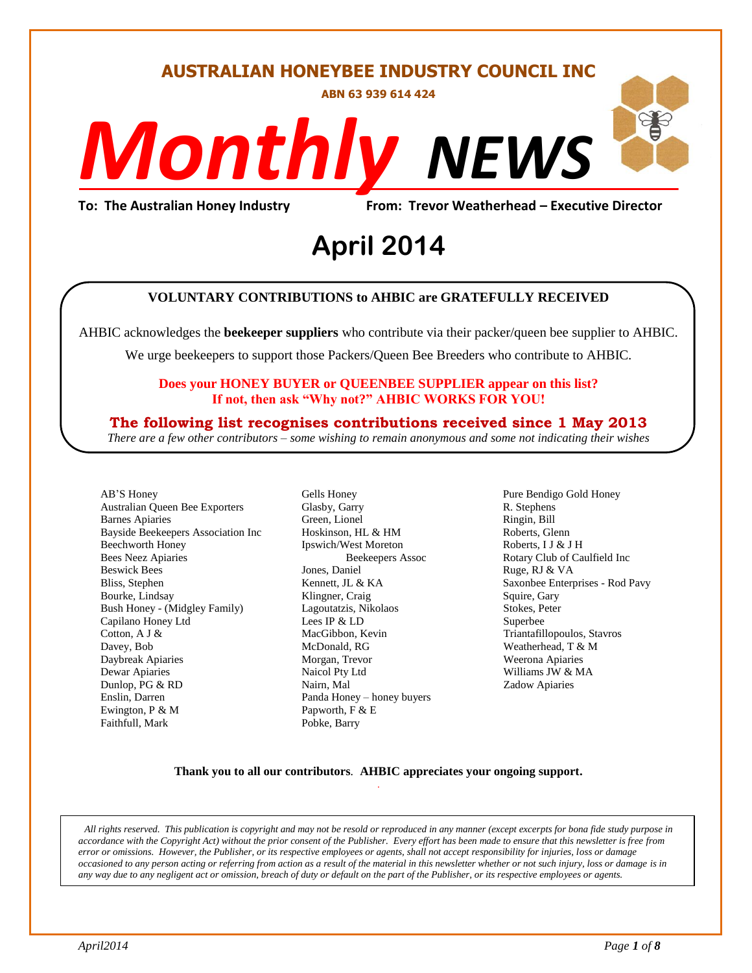#### **AUSTRALIAN HONEYBEE INDUSTRY COUNCIL INC**

**ABN 63 939 614 424**

# *NEWS Monthly*

**To: The Australian Honey Industry From: Trevor Weatherhead – Executive Director**

## evor weathern<br>4 **April 2014**

#### **VOLUNTARY CONTRIBUTIONS to AHBIC are GRATEFULLY RECEIVED**

AHBIC acknowledges the **beekeeper suppliers** who contribute via their packer/queen bee supplier to AHBIC.

We urge beekeepers to support those Packers/Queen Bee Breeders who contribute to AHBIC.

#### **Does your HONEY BUYER or QUEENBEE SUPPLIER appear on this list? If not, then ask "Why not?" AHBIC WORKS FOR YOU!**

#### **The following list recognises contributions received since 1 May 2013**

*There are a few other contributors – some wishing to remain anonymous and some not indicating their wishes*

AB'S Honey Australian Queen Bee Exporters Barnes Apiaries Bayside Beekeepers Association Inc Beechworth Honey Bees Neez Apiaries Beswick Bees Bliss, Stephen Bourke, Lindsay Bush Honey - (Midgley Family) Capilano Honey Ltd Cotton, A J & Davey, Bob Daybreak Apiaries Dewar Apiaries Dunlop, PG & RD Enslin, Darren Ewington, P & M Faithfull, Mark

Gells Honey Glasby, Garry Green, Lionel Hoskinson, HL & HM Ipswich/West Moreton Beekeepers Assoc Jones, Daniel Kennett, JL & KA Klingner, Craig Lagoutatzis, Nikolaos Lees IP & LD MacGibbon, Kevin McDonald, RG Morgan, Trevor Naicol Pty Ltd Nairn, Mal Panda Honey – honey buyers Papworth, F & E Pobke, Barry

Pure Bendigo Gold Honey R. Stephens Ringin, Bill Roberts, Glenn Roberts, I J & J H Rotary Club of Caulfield Inc Ruge, RJ & VA Saxonbee Enterprises - Rod Pavy Squire, Gary Stokes, Peter Superbee Triantafillopoulos, Stavros Weatherhead, T & M Weerona Apiaries Williams JW & MA Zadow Apiaries

#### **Thank you to all our contributors***.* **AHBIC appreciates your ongoing support.** .

*All rights reserved. This publication is copyright and may not be resold or reproduced in any manner (except excerpts for bona fide study purpose in accordance with the Copyright Act) without the prior consent of the Publisher. Every effort has been made to ensure that this newsletter is free from error or omissions. However, the Publisher, or its respective employees or agents, shall not accept responsibility for injuries, loss or damage occasioned to any person acting or referring from action as a result of the material in this newsletter whether or not such injury, loss or damage is in any way due to any negligent act or omission, breach of duty or default on the part of the Publisher, or its respective employees or agents.*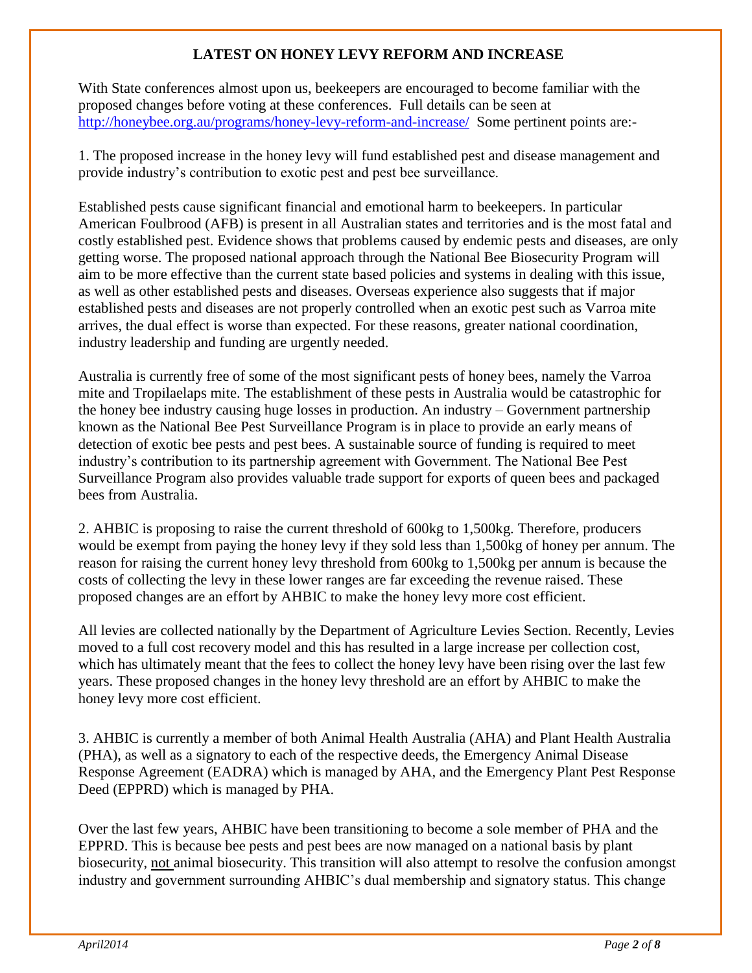#### **LATEST ON HONEY LEVY REFORM AND INCREASE**

With State conferences almost upon us, beekeepers are encouraged to become familiar with the proposed changes before voting at these conferences. Full details can be seen at <http://honeybee.org.au/programs/honey-levy-reform-and-increase/> Some pertinent points are:-

1. The proposed increase in the honey levy will fund established pest and disease management and provide industry's contribution to exotic pest and pest bee surveillance.

Established pests cause significant financial and emotional harm to beekeepers. In particular American Foulbrood (AFB) is present in all Australian states and territories and is the most fatal and costly established pest. Evidence shows that problems caused by endemic pests and diseases, are only getting worse. The proposed national approach through the National Bee Biosecurity Program will aim to be more effective than the current state based policies and systems in dealing with this issue, as well as other established pests and diseases. Overseas experience also suggests that if major established pests and diseases are not properly controlled when an exotic pest such as Varroa mite arrives, the dual effect is worse than expected. For these reasons, greater national coordination, industry leadership and funding are urgently needed.

Australia is currently free of some of the most significant pests of honey bees, namely the Varroa mite and Tropilaelaps mite. The establishment of these pests in Australia would be catastrophic for the honey bee industry causing huge losses in production. An industry – Government partnership known as the National Bee Pest Surveillance Program is in place to provide an early means of detection of exotic bee pests and pest bees. A sustainable source of funding is required to meet industry's contribution to its partnership agreement with Government. The National Bee Pest Surveillance Program also provides valuable trade support for exports of queen bees and packaged bees from Australia.

2. AHBIC is proposing to raise the current threshold of 600kg to 1,500kg. Therefore, producers would be exempt from paying the honey levy if they sold less than 1,500kg of honey per annum. The reason for raising the current honey levy threshold from 600kg to 1,500kg per annum is because the costs of collecting the levy in these lower ranges are far exceeding the revenue raised. These proposed changes are an effort by AHBIC to make the honey levy more cost efficient.

All levies are collected nationally by the Department of Agriculture Levies Section. Recently, Levies moved to a full cost recovery model and this has resulted in a large increase per collection cost, which has ultimately meant that the fees to collect the honey levy have been rising over the last few years. These proposed changes in the honey levy threshold are an effort by AHBIC to make the honey levy more cost efficient.

3. AHBIC is currently a member of both Animal Health Australia (AHA) and Plant Health Australia (PHA), as well as a signatory to each of the respective deeds, the Emergency Animal Disease Response Agreement (EADRA) which is managed by AHA, and the Emergency Plant Pest Response Deed (EPPRD) which is managed by PHA.

Over the last few years, AHBIC have been transitioning to become a sole member of PHA and the EPPRD. This is because bee pests and pest bees are now managed on a national basis by plant biosecurity, not animal biosecurity. This transition will also attempt to resolve the confusion amongst industry and government surrounding AHBIC's dual membership and signatory status. This change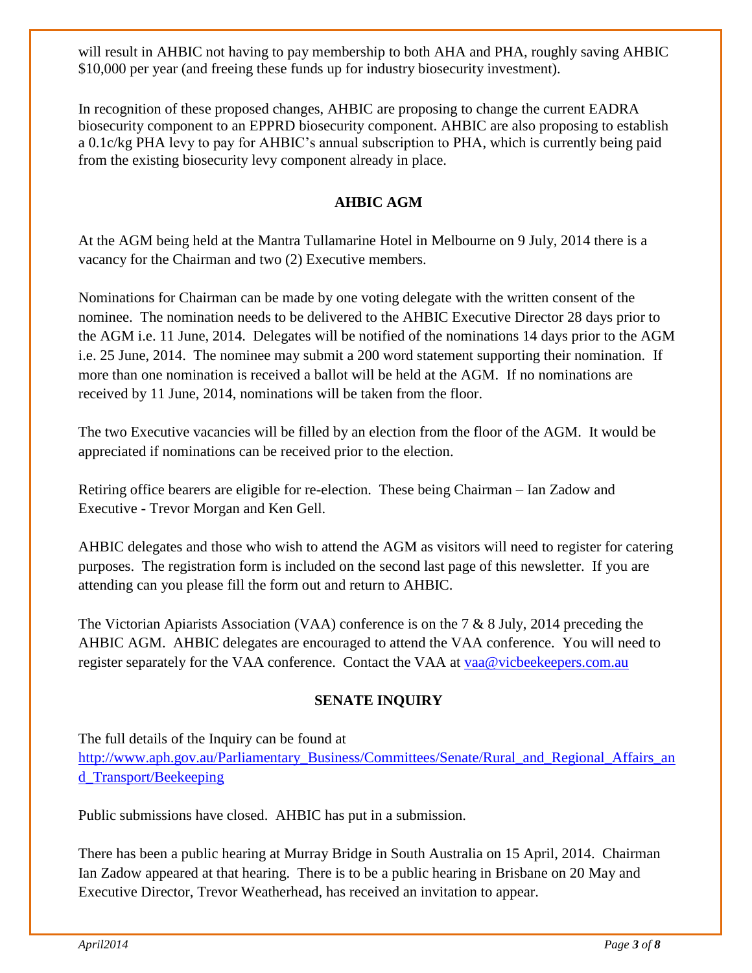will result in AHBIC not having to pay membership to both AHA and PHA, roughly saving AHBIC \$10,000 per year (and freeing these funds up for industry biosecurity investment).

In recognition of these proposed changes, AHBIC are proposing to change the current EADRA biosecurity component to an EPPRD biosecurity component. AHBIC are also proposing to establish a 0.1c/kg PHA levy to pay for AHBIC's annual subscription to PHA, which is currently being paid from the existing biosecurity levy component already in place.

#### **AHBIC AGM**

At the AGM being held at the Mantra Tullamarine Hotel in Melbourne on 9 July, 2014 there is a vacancy for the Chairman and two (2) Executive members.

Nominations for Chairman can be made by one voting delegate with the written consent of the nominee. The nomination needs to be delivered to the AHBIC Executive Director 28 days prior to the AGM i.e. 11 June, 2014. Delegates will be notified of the nominations 14 days prior to the AGM i.e. 25 June, 2014. The nominee may submit a 200 word statement supporting their nomination. If more than one nomination is received a ballot will be held at the AGM. If no nominations are received by 11 June, 2014, nominations will be taken from the floor.

The two Executive vacancies will be filled by an election from the floor of the AGM. It would be appreciated if nominations can be received prior to the election.

Retiring office bearers are eligible for re-election. These being Chairman – Ian Zadow and Executive - Trevor Morgan and Ken Gell.

AHBIC delegates and those who wish to attend the AGM as visitors will need to register for catering purposes. The registration form is included on the second last page of this newsletter. If you are attending can you please fill the form out and return to AHBIC.

The Victorian Apiarists Association (VAA) conference is on the 7 & 8 July, 2014 preceding the AHBIC AGM. AHBIC delegates are encouraged to attend the VAA conference. You will need to register separately for the VAA conference. Contact the VAA at [vaa@vicbeekeepers.com.au](mailto:vaa@vicbeekeepers.com.au)

#### **SENATE INQUIRY**

The full details of the Inquiry can be found at

[http://www.aph.gov.au/Parliamentary\\_Business/Committees/Senate/Rural\\_and\\_Regional\\_Affairs\\_an](http://www.aph.gov.au/Parliamentary_Business/Committees/Senate/Rural_and_Regional_Affairs_and_Transport/Beekeeping) [d\\_Transport/Beekeeping](http://www.aph.gov.au/Parliamentary_Business/Committees/Senate/Rural_and_Regional_Affairs_and_Transport/Beekeeping)

Public submissions have closed. AHBIC has put in a submission.

There has been a public hearing at Murray Bridge in South Australia on 15 April, 2014. Chairman Ian Zadow appeared at that hearing. There is to be a public hearing in Brisbane on 20 May and Executive Director, Trevor Weatherhead, has received an invitation to appear.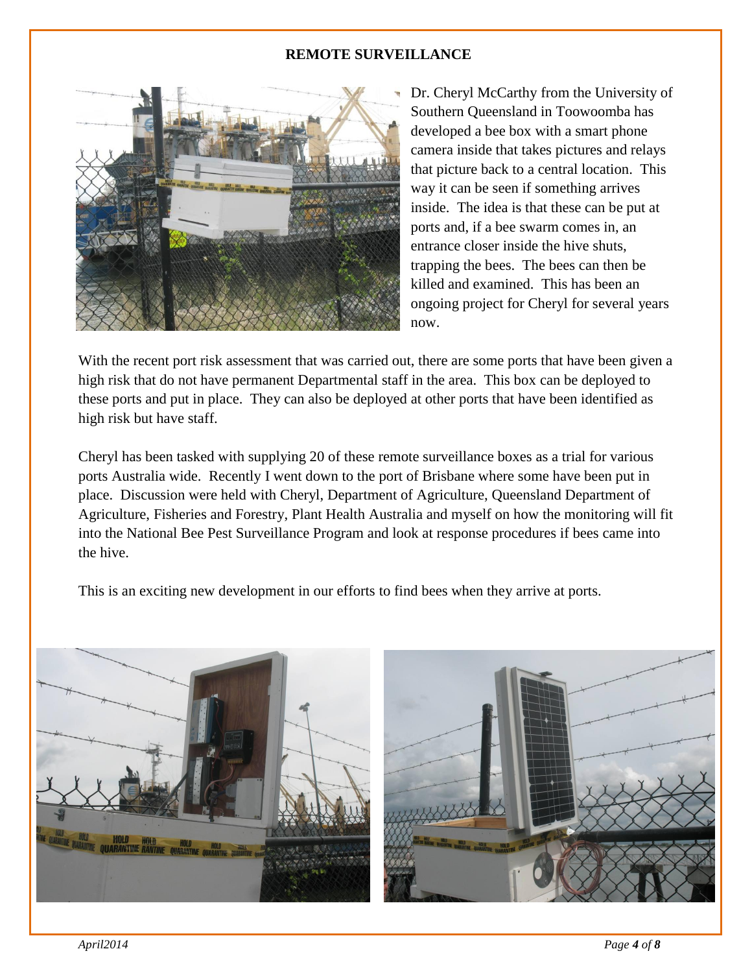#### **REMOTE SURVEILLANCE**



Dr. Cheryl McCarthy from the University of Southern Queensland in Toowoomba has developed a bee box with a smart phone camera inside that takes pictures and relays that picture back to a central location. This way it can be seen if something arrives inside. The idea is that these can be put at ports and, if a bee swarm comes in, an entrance closer inside the hive shuts, trapping the bees. The bees can then be killed and examined. This has been an ongoing project for Cheryl for several years now.

With the recent port risk assessment that was carried out, there are some ports that have been given a high risk that do not have permanent Departmental staff in the area. This box can be deployed to these ports and put in place. They can also be deployed at other ports that have been identified as high risk but have staff.

Cheryl has been tasked with supplying 20 of these remote surveillance boxes as a trial for various ports Australia wide. Recently I went down to the port of Brisbane where some have been put in place. Discussion were held with Cheryl, Department of Agriculture, Queensland Department of Agriculture, Fisheries and Forestry, Plant Health Australia and myself on how the monitoring will fit into the National Bee Pest Surveillance Program and look at response procedures if bees came into the hive.

This is an exciting new development in our efforts to find bees when they arrive at ports.



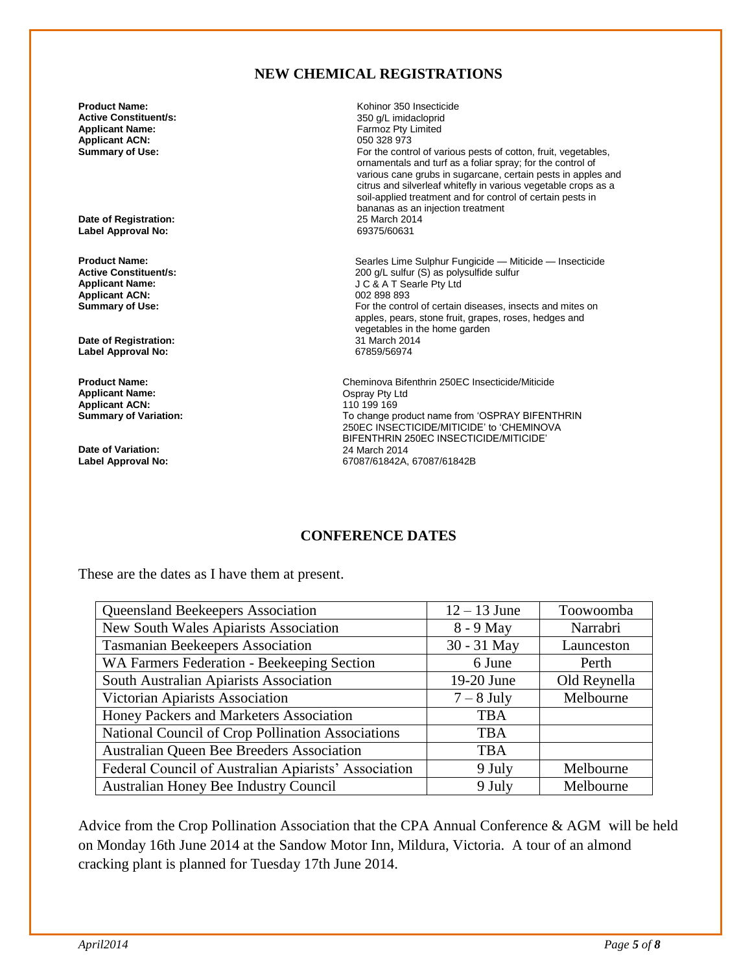#### **NEW CHEMICAL REGISTRATIONS**

**Active Constituent/s:** <br> **Applicant Name:** <br> **Applicant Name:** <br> **Applicant Name:** <br> **Applicant Name:** <br> **Applicant Name:** <br> **Applicant Name:** <br> **Applicant Name:** <br> **Applicant Name:** <br> **Applicant Name:** <br> **Applicant Name: Applicant ACN:**<br>Summary of Use:

**Date of Registration:** 25 March 2014 **Label Approval No:** 

**Applicant ACN:**<br>Summary of Use:

**Date of Registration:** 31 March 2014 **Label Approval No:** 

**Applicant Name:** Ospray Pty Ltd **Applicant ACN:**<br>Summary of Variation:

**Date of Variation:** 24 March 2014

**Product Name: Product Name: Active Constituent/s: Research 2010 Research 2010 Research 2010 Active Constituent/s: Active Constituent/s: Active Constituent/s: Active Constituent/s: Active Constituent/s:** Farmoz Pty Limited<br>050 328 973 For the control of various pests of cotton, fruit, vegetables, ornamentals and turf as a foliar spray; for the control of various cane grubs in sugarcane, certain pests in apples and citrus and silverleaf whitefly in various vegetable crops as a soil-applied treatment and for control of certain pests in bananas as an injection treatment

**Product Name: Product Name: Searles Lime Sulphur Fungicide — Miticide — Insecticide Active Constituent/s: Active Constituent/s: Active Constituent/s: Active Constituent/s: Active Constituent/s: Active Cons Active Constituent/s:** <br>**Applicant Name:** <br>**Applicant Name:** <br>**Applicant Name:** <br>**Active Constituent Subsetiment Subsetiment Subsetiment Subsetiment Subsetiment Subsetiment Subsetiment Subsetiment Subsetiment Subsetiment J C & A T Searle Pty Ltd**<br>002 898 893 For the control of certain diseases, insects and mites on apples, pears, stone fruit, grapes, roses, hedges and vegetables in the home garden<br>31 March 2014

**Product Name: Cheminova Bifenthrin 250EC Insecticide/Miticide**<br> **Applicant Name: Championer Contract Contract Operational Contract Contract Contract Contract Contract Contract Contract Applicant Applicant Name:** To change product name from 'OSPRAY BIFENTHRIN 250EC INSECTICIDE/MITICIDE' to 'CHEMINOVA BIFENTHRIN 250EC INSECTICIDE/MITICIDE' **Label Approval No:** 67087/61842A, 67087/61842B

#### **CONFERENCE DATES**

These are the dates as I have them at present.

| Queensland Beekeepers Association                    | $12 - 13$ June | Toowoomba    |
|------------------------------------------------------|----------------|--------------|
| New South Wales Apiarists Association                | 8 - 9 May      | Narrabri     |
| <b>Tasmanian Beekeepers Association</b>              | 30 - 31 May    | Launceston   |
| WA Farmers Federation - Beekeeping Section           | 6 June         | Perth        |
| South Australian Apiarists Association               | 19-20 June     | Old Reynella |
| Victorian Apiarists Association                      | $7-8$ July     | Melbourne    |
| Honey Packers and Marketers Association              | <b>TBA</b>     |              |
| National Council of Crop Pollination Associations    | <b>TBA</b>     |              |
| Australian Queen Bee Breeders Association            | <b>TBA</b>     |              |
| Federal Council of Australian Apiarists' Association | 9 July         | Melbourne    |
| Australian Honey Bee Industry Council                | 9 July         | Melbourne    |

Advice from the Crop Pollination Association that the CPA Annual Conference & AGM will be held on Monday 16th June 2014 at the Sandow Motor Inn, Mildura, Victoria. A tour of an almond cracking plant is planned for Tuesday 17th June 2014.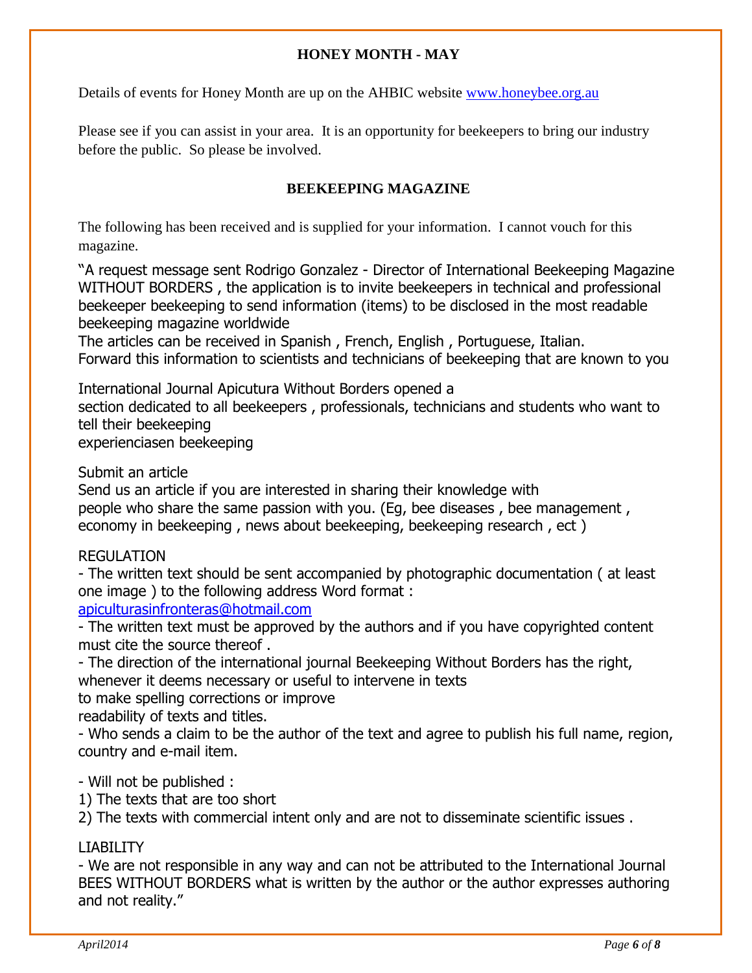#### **HONEY MONTH - MAY**

Details of events for Honey Month are up on the AHBIC website [www.honeybee.org.au](http://www.honeybee.org.au/) 

Please see if you can assist in your area. It is an opportunity for beekeepers to bring our industry before the public. So please be involved.

#### **BEEKEEPING MAGAZINE**

The following has been received and is supplied for your information. I cannot vouch for this magazine.

"A request message sent Rodrigo Gonzalez - Director of International Beekeeping Magazine WITHOUT BORDERS, the application is to invite beekeepers in technical and professional beekeeper beekeeping to send information (items) to be disclosed in the most readable beekeeping magazine worldwide

The articles can be received in Spanish , French, English , Portuguese, Italian. Forward this information to scientists and technicians of beekeeping that are known to you

International Journal Apicutura Without Borders opened a

section dedicated to all beekeepers , professionals, technicians and students who want to tell their beekeeping

experienciasen beekeeping

Submit an article

Send us an article if you are interested in sharing their knowledge with people who share the same passion with you. (Eg, bee diseases , bee management , economy in beekeeping , news about beekeeping, beekeeping research , ect )

#### REGULATION

- The written text should be sent accompanied by photographic documentation ( at least one image ) to the following address Word format :

[apiculturasinfronteras@hotmail.com](mailto:apiculturasinfronteras@hotmail.com)

- The written text must be approved by the authors and if you have copyrighted content must cite the source thereof .

- The direction of the international journal Beekeeping Without Borders has the right, whenever it deems necessary or useful to intervene in texts

to make spelling corrections or improve

readability of texts and titles.

- Who sends a claim to be the author of the text and agree to publish his full name, region, country and e-mail item.

- Will not be published :

1) The texts that are too short

2) The texts with commercial intent only and are not to disseminate scientific issues .

#### LIABILITY

- We are not responsible in any way and can not be attributed to the International Journal BEES WITHOUT BORDERS what is written by the author or the author expresses authoring and not reality."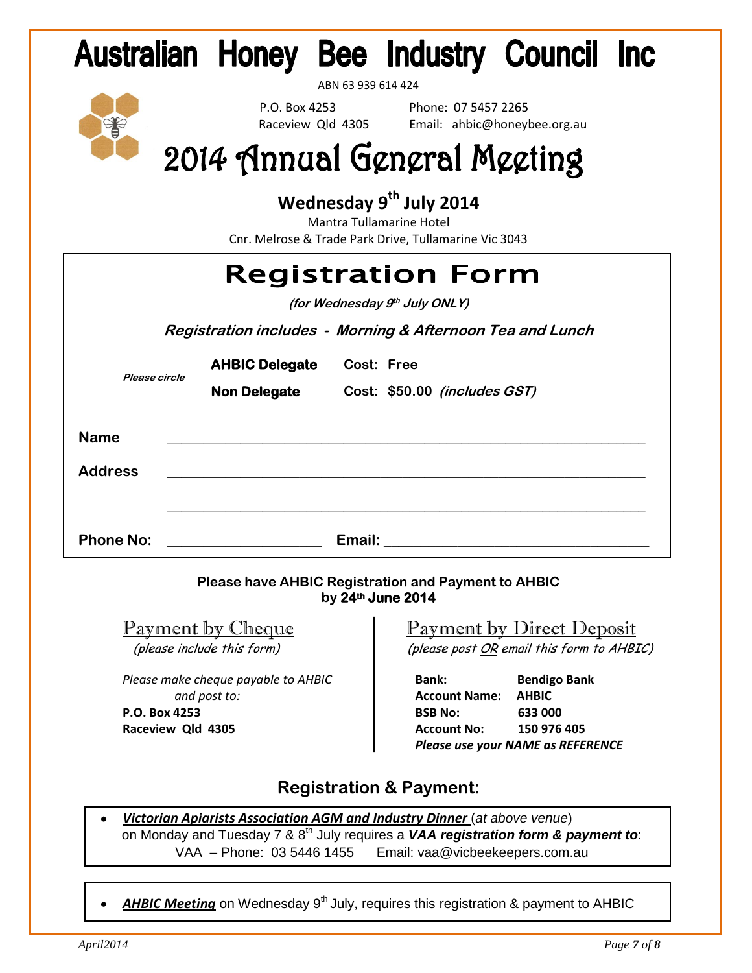# **Australian Honey Bee Industry Council Inc.**

ABN 63 939 614 424

 P.O. Box 4253 Phone: 07 5457 2265 Raceview Qld 4305 Email: ahbic@honeybee.org.au

# 2014 Annual General Meeting

## **Wednesday 9th July 2014**

Mantra Tullamarine Hotel Cnr. Melrose & Trade Park Drive, Tullamarine Vic 3043

|               |                       |            | <b>Registration Form</b>                                  |
|---------------|-----------------------|------------|-----------------------------------------------------------|
|               |                       |            | <i>(for Wednesday 9<sup>th</sup> July ONLY)</i>           |
|               |                       |            | Registration includes - Morning & Afternoon Tea and Lunch |
| Please circle | <b>AHBIC Delegate</b> | Cost: Free |                                                           |
|               | <b>Non Delegate</b>   |            | Cost: \$50.00 (includes GST)                              |
|               |                       |            |                                                           |

| <b>Name</b>      |                                                                     |        |
|------------------|---------------------------------------------------------------------|--------|
| <b>Address</b>   | <u> 1980 - Andrea Station Barbara, amerikan personal (h. 1980).</u> |        |
|                  |                                                                     |        |
| <b>Phone No:</b> |                                                                     | Email: |

#### **Please have AHBIC Registration and Payment to AHBIC by 24th June 2014**

*Please make cheque payable to AHBIC* **Bank: Bendigo Bank and post to: Account Name: AHBIC P.O. Box 4253****BSB No: 633 000**

### Payment by Cheque <sup>1</sup> Payment by Direct Deposit (please include this form)(please post OR email this form to AHBIC)

**Raceview Qld 4305** *Account No:* **150 976 405**  *Please use your NAME as REFERENCE*

## **Registration & Payment:**

- *Victorian Apiarists Association AGM and Industry Dinner* (*at above venue*) on Monday and Tuesday 7 & 8th July requires a *VAA registration form & payment to*: VAA – Phone: 03 5446 1455 Email: [vaa@vicbeekeepers.com.au](mailto:vaa@vicbeekeepers.com.au)
- **AHBIC Meeting** on Wednesday 9<sup>th</sup> July, requires this registration & payment to AHBIC